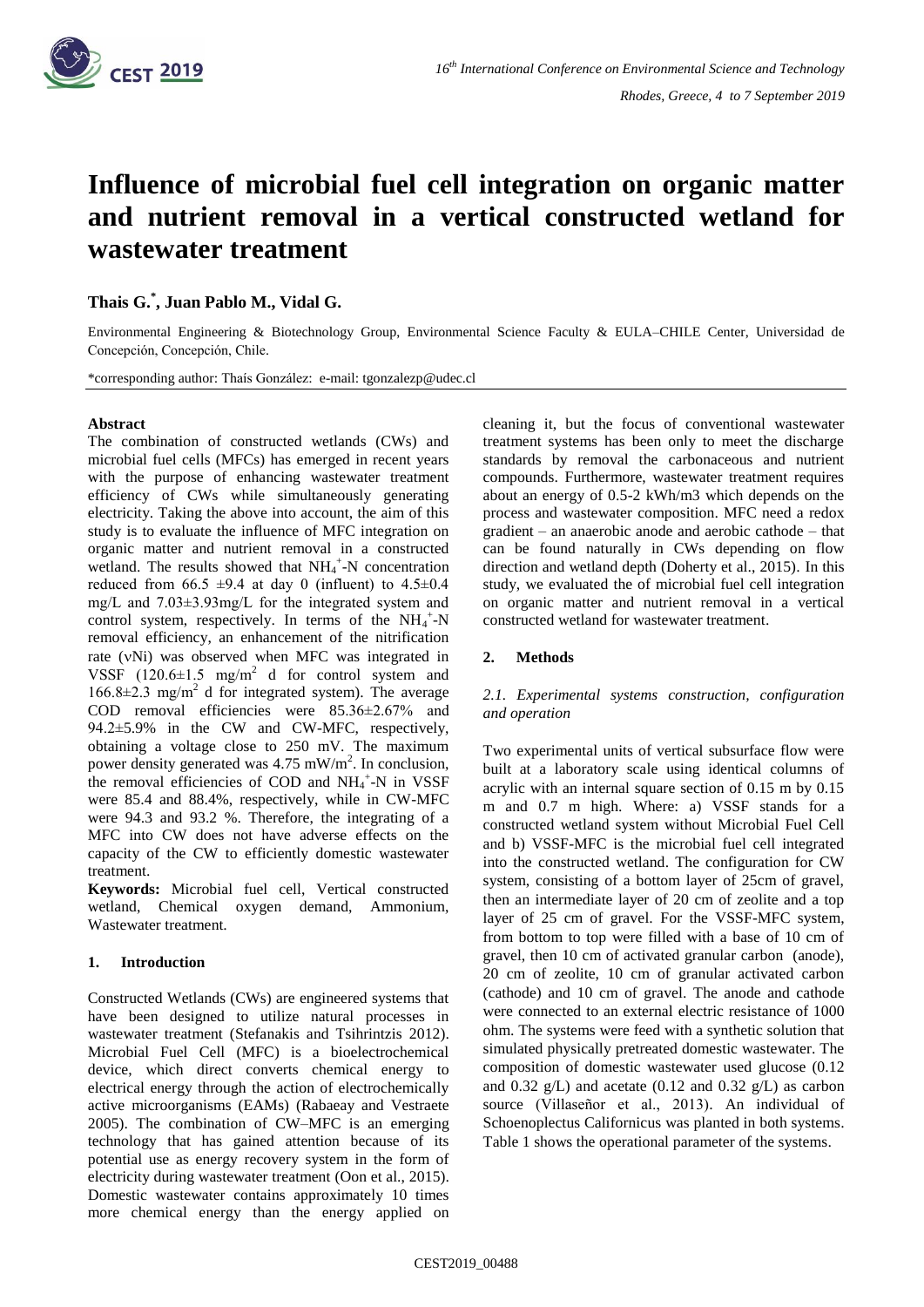

# **Influence of microbial fuel cell integration on organic matter and nutrient removal in a vertical constructed wetland for wastewater treatment**

**Thais G. \* , Juan Pablo M., Vidal G.**

Environmental Engineering & Biotechnology Group, Environmental Science Faculty & EULA–CHILE Center, Universidad de Concepción, Concepción, Chile.

\*corresponding author: Thaís González: e-mail: tgonzalezp@udec.cl

## **Abstract**

The combination of constructed wetlands (CWs) and microbial fuel cells (MFCs) has emerged in recent years with the purpose of enhancing wastewater treatment efficiency of CWs while simultaneously generating electricity. Taking the above into account, the aim of this study is to evaluate the influence of MFC integration on organic matter and nutrient removal in a constructed wetland. The results showed that NH<sub>4</sub><sup>+</sup>-N concentration reduced from 66.5  $\pm$ 9.4 at day 0 (influent) to 4.5 $\pm$ 0.4 mg/L and 7.03±3.93mg/L for the integrated system and control system, respectively. In terms of the  $NH_4$ <sup>+</sup>-N removal efficiency, an enhancement of the nitrification rate (vNi) was observed when MFC was integrated in VSSF  $(120.6\pm1.5 \text{ mg/m}^2 \text{ d for control system and})$  $166.8 \pm 2.3$  mg/m<sup>2</sup> d for integrated system). The average COD removal efficiencies were 85.36±2.67% and 94.2±5.9% in the CW and CW-MFC, respectively, obtaining a voltage close to 250 mV. The maximum power density generated was  $4.75 \text{ mW/m}^2$ . In conclusion, the removal efficiencies of COD and  $NH_4^+$ -N in VSSF were 85.4 and 88.4%, respectively, while in CW-MFC were 94.3 and 93.2 %. Therefore, the integrating of a MFC into CW does not have adverse effects on the capacity of the CW to efficiently domestic wastewater treatment.

**Keywords:** Microbial fuel cell, Vertical constructed wetland, Chemical oxygen demand, Ammonium, Wastewater treatment.

## **1. Introduction**

Constructed Wetlands (CWs) are engineered systems that have been designed to utilize natural processes in wastewater treatment (Stefanakis and Tsihrintzis 2012). Microbial Fuel Cell (MFC) is a bioelectrochemical device, which direct converts chemical energy to electrical energy through the action of electrochemically active microorganisms (EAMs) (Rabaeay and Vestraete 2005). The combination of CW–MFC is an emerging technology that has gained attention because of its potential use as energy recovery system in the form of electricity during wastewater treatment (Oon et al., 2015). Domestic wastewater contains approximately 10 times more chemical energy than the energy applied on cleaning it, but the focus of conventional wastewater treatment systems has been only to meet the discharge standards by removal the carbonaceous and nutrient compounds. Furthermore, wastewater treatment requires about an energy of 0.5-2 kWh/m3 which depends on the process and wastewater composition. MFC need a redox gradient – an anaerobic anode and aerobic cathode – that can be found naturally in CWs depending on flow direction and wetland depth (Doherty et al., 2015). In this study, we evaluated the of microbial fuel cell integration on organic matter and nutrient removal in a vertical constructed wetland for wastewater treatment.

# **2. Methods**

# *2.1. Experimental systems construction, configuration and operation*

Two experimental units of vertical subsurface flow were built at a laboratory scale using identical columns of acrylic with an internal square section of 0.15 m by 0.15 m and 0.7 m high. Where: a) VSSF stands for a constructed wetland system without Microbial Fuel Cell and b) VSSF-MFC is the microbial fuel cell integrated into the constructed wetland. The configuration for CW system, consisting of a bottom layer of 25cm of gravel, then an intermediate layer of 20 cm of zeolite and a top layer of 25 cm of gravel. For the VSSF-MFC system, from bottom to top were filled with a base of 10 cm of gravel, then 10 cm of activated granular carbon (anode), 20 cm of zeolite, 10 cm of granular activated carbon (cathode) and 10 cm of gravel. The anode and cathode were connected to an external electric resistance of 1000 ohm. The systems were feed with a synthetic solution that simulated physically pretreated domestic wastewater. The composition of domestic wastewater used glucose (0.12 and  $0.32 \text{ g/L}$  and acetate  $(0.12 \text{ and } 0.32 \text{ g/L})$  as carbon source (Villaseñor et al., 2013). An individual of Schoenoplectus Californicus was planted in both systems. Table 1 shows the operational parameter of the systems.